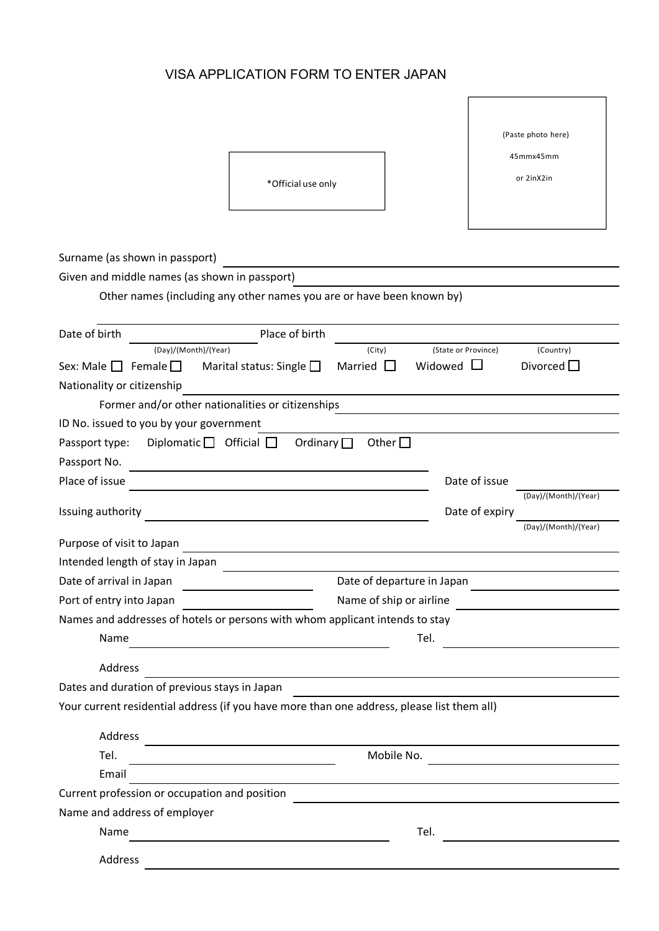## VISA APPLICATION FORM TO ENTER JAPAN

 $\overline{a}$ 

|                                                                                            |                                             |                     | (Paste photo here)   |  |  |
|--------------------------------------------------------------------------------------------|---------------------------------------------|---------------------|----------------------|--|--|
|                                                                                            |                                             |                     | 45mmx45mm            |  |  |
|                                                                                            | *Official use only                          |                     | or 2inX2in           |  |  |
|                                                                                            |                                             |                     |                      |  |  |
|                                                                                            |                                             |                     |                      |  |  |
|                                                                                            |                                             |                     |                      |  |  |
| Surname (as shown in passport)                                                             |                                             |                     |                      |  |  |
| Given and middle names (as shown in passport)                                              |                                             |                     |                      |  |  |
| Other names (including any other names you are or have been known by)                      |                                             |                     |                      |  |  |
|                                                                                            |                                             |                     |                      |  |  |
| Date of birth                                                                              | Place of birth                              |                     |                      |  |  |
| (Day)/(Month)/(Year)                                                                       | (City)                                      | (State or Province) | (Country)            |  |  |
| Sex: Male $\square$<br>Female $\Box$                                                       | Marital status: Single $\square$<br>Married | Widowed             | Divorced $\square$   |  |  |
| Nationality or citizenship                                                                 |                                             |                     |                      |  |  |
| Former and/or other nationalities or citizenships                                          |                                             |                     |                      |  |  |
| ID No. issued to you by your government                                                    |                                             |                     |                      |  |  |
| Diplomatic $\Box$ Official $\Box$<br>Passport type:                                        | Other $\square$<br>Ordinary $\Box$          |                     |                      |  |  |
| Passport No.                                                                               |                                             |                     |                      |  |  |
| Place of issue                                                                             |                                             | Date of issue       |                      |  |  |
| Issuing authority                                                                          |                                             | Date of expiry      | (Day)/(Month)/(Year) |  |  |
|                                                                                            |                                             |                     | (Day)/(Month)/(Year) |  |  |
| Purpose of visit to Japan                                                                  |                                             |                     |                      |  |  |
| Intended length of stay in Japan                                                           |                                             |                     |                      |  |  |
| Date of arrival in Japan                                                                   | Date of departure in Japan                  |                     |                      |  |  |
| Port of entry into Japan                                                                   | Name of ship or airline                     |                     |                      |  |  |
| Names and addresses of hotels or persons with whom applicant intends to stay               |                                             |                     |                      |  |  |
| Name                                                                                       | Tel.                                        |                     |                      |  |  |
|                                                                                            |                                             |                     |                      |  |  |
| Address                                                                                    |                                             |                     |                      |  |  |
| Dates and duration of previous stays in Japan                                              |                                             |                     |                      |  |  |
| Your current residential address (if you have more than one address, please list them all) |                                             |                     |                      |  |  |
| Address                                                                                    |                                             |                     |                      |  |  |
| Tel.                                                                                       |                                             | Mobile No.          |                      |  |  |
| Email                                                                                      |                                             |                     |                      |  |  |
| Current profession or occupation and position                                              |                                             |                     |                      |  |  |
| Name and address of employer                                                               |                                             |                     |                      |  |  |
| Name                                                                                       |                                             | Tel.                |                      |  |  |
|                                                                                            |                                             |                     |                      |  |  |
| Address                                                                                    |                                             |                     |                      |  |  |